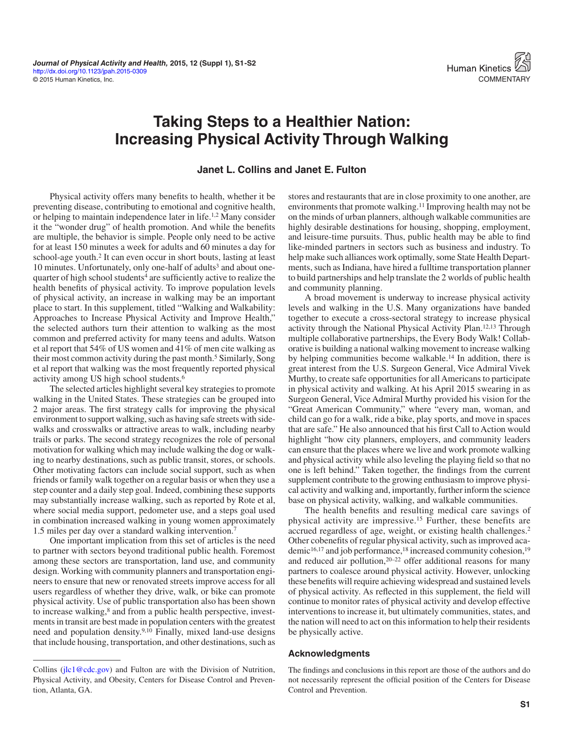## **Taking Steps to a Healthier Nation: Increasing Physical Activity Through Walking**

## **Janet L. Collins and Janet E. Fulton**

Physical activity offers many benefits to health, whether it be preventing disease, contributing to emotional and cognitive health, or helping to maintain independence later in life.<sup>1,2</sup> Many consider it the "wonder drug" of health promotion. And while the benefits are multiple, the behavior is simple. People only need to be active for at least 150 minutes a week for adults and 60 minutes a day for school-age youth.2 It can even occur in short bouts, lasting at least 10 minutes. Unfortunately, only one-half of adults<sup>3</sup> and about onequarter of high school students<sup>4</sup> are sufficiently active to realize the health benefits of physical activity. To improve population levels of physical activity, an increase in walking may be an important place to start. In this supplement, titled "Walking and Walkability: Approaches to Increase Physical Activity and Improve Health," the selected authors turn their attention to walking as the most common and preferred activity for many teens and adults. Watson et al report that 54% of US women and 41% of men cite walking as their most common activity during the past month.<sup>5</sup> Similarly, Song et al report that walking was the most frequently reported physical activity among US high school students.6

The selected articles highlight several key strategies to promote walking in the United States. These strategies can be grouped into 2 major areas. The first strategy calls for improving the physical environment to support walking, such as having safe streets with sidewalks and crosswalks or attractive areas to walk, including nearby trails or parks. The second strategy recognizes the role of personal motivation for walking which may include walking the dog or walking to nearby destinations, such as public transit, stores, or schools. Other motivating factors can include social support, such as when friends or family walk together on a regular basis or when they use a step counter and a daily step goal. Indeed, combining these supports may substantially increase walking, such as reported by Rote et al, where social media support, pedometer use, and a steps goal used in combination increased walking in young women approximately 1.5 miles per day over a standard walking intervention.7

One important implication from this set of articles is the need to partner with sectors beyond traditional public health. Foremost among these sectors are transportation, land use, and community design. Working with community planners and transportation engineers to ensure that new or renovated streets improve access for all users regardless of whether they drive, walk, or bike can promote physical activity. Use of public transportation also has been shown to increase walking,<sup>8</sup> and from a public health perspective, investments in transit are best made in population centers with the greatest need and population density.9,10 Finally, mixed land-use designs that include housing, transportation, and other destinations, such as stores and restaurants that are in close proximity to one another, are environments that promote walking.11 Improving health may not be on the minds of urban planners, although walkable communities are highly desirable destinations for housing, shopping, employment, and leisure-time pursuits. Thus, public health may be able to find like-minded partners in sectors such as business and industry. To help make such alliances work optimally, some State Health Departments, such as Indiana, have hired a fulltime transportation planner to build partnerships and help translate the 2 worlds of public health and community planning.

A broad movement is underway to increase physical activity levels and walking in the U.S. Many organizations have banded together to execute a cross-sectoral strategy to increase physical activity through the National Physical Activity Plan.12,13 Through multiple collaborative partnerships, the Every Body Walk! Collaborative is building a national walking movement to increase walking by helping communities become walkable.14 In addition, there is great interest from the U.S. Surgeon General, Vice Admiral Vivek Murthy, to create safe opportunities for all Americans to participate in physical activity and walking. At his April 2015 swearing in as Surgeon General, Vice Admiral Murthy provided his vision for the "Great American Community," where "every man, woman, and child can go for a walk, ride a bike, play sports, and move in spaces that are safe." He also announced that his first Call to Action would highlight "how city planners, employers, and community leaders can ensure that the places where we live and work promote walking and physical activity while also leveling the playing field so that no one is left behind." Taken together, the findings from the current supplement contribute to the growing enthusiasm to improve physical activity and walking and, importantly, further inform the science base on physical activity, walking, and walkable communities.

The health benefits and resulting medical care savings of physical activity are impressive.15 Further, these benefits are accrued regardless of age, weight, or existing health challenges.2 Other cobenefits of regular physical activity, such as improved academic<sup>16,17</sup> and job performance,<sup>18</sup> increased community cohesion,<sup>19</sup> and reduced air pollution, $20-22$  offer additional reasons for many partners to coalesce around physical activity. However, unlocking these benefits will require achieving widespread and sustained levels of physical activity. As reflected in this supplement, the field will continue to monitor rates of physical activity and develop effective interventions to increase it, but ultimately communities, states, and the nation will need to act on this information to help their residents be physically active.

## **Acknowledgments**

Collins (<jlc1@cdc.gov>) and Fulton are with the Division of Nutrition, The findings and conclusions in this report are those of the authors and do<br>Physical Activity, and Obesity, Centers for Disease Control and Prevention a The findings and conclusions in this report are those of the authors and do not necessarily represent the official position of the Centers for Disease Control and Prevention.

Physical Activity, and Obesity, Centers for Disease Control and Prevention, Atlanta, GA.